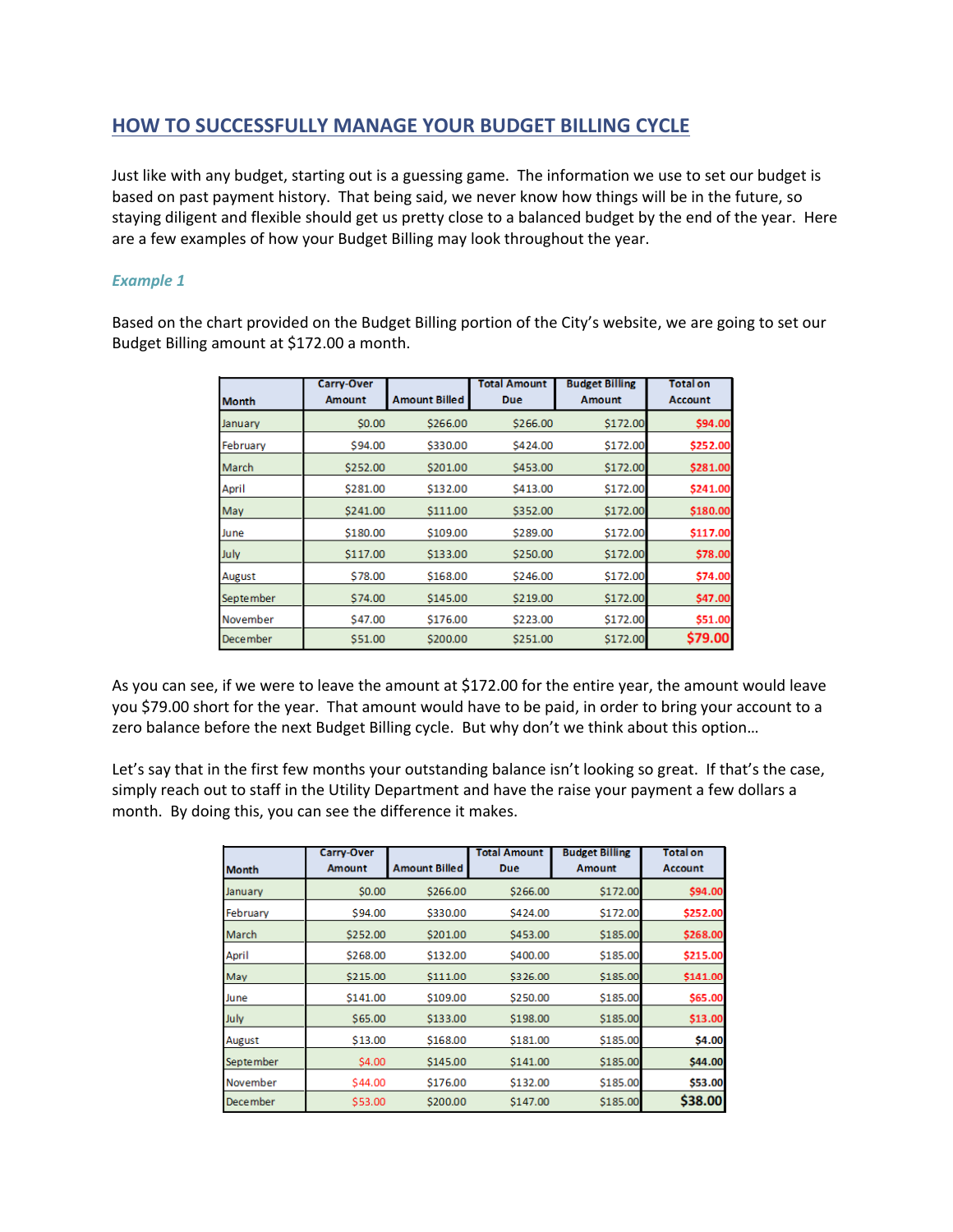## **HOW TO SUCCESSFULLY MANAGE YOUR BUDGET BILLING CYCLE**

Just like with any budget, starting out is a guessing game. The information we use to set our budget is based on past payment history. That being said, we never know how things will be in the future, so staying diligent and flexible should get us pretty close to a balanced budget by the end of the year. Here are a few examples of how your Budget Billing may look throughout the year.

## *Example 1*

Based on the chart provided on the Budget Billing portion of the City's website, we are going to set our Budget Billing amount at \$172.00 a month.

| <b>Month</b>     | <b>Carry-Over</b><br><b>Amount</b> | <b>Amount Billed</b> | <b>Total Amount</b><br><b>Due</b> | <b>Budget Billing</b><br><b>Amount</b> | <b>Total on</b><br><b>Account</b> |
|------------------|------------------------------------|----------------------|-----------------------------------|----------------------------------------|-----------------------------------|
| January          | \$0.00                             | \$266.00             | \$266.00                          | \$172.00                               | \$94.00                           |
| February         | S94.00                             | \$330.00             | S424.00                           | \$172.00                               | \$252.00                          |
| March            | \$252.00                           | \$201.00             | S453.00                           | \$172.00                               | \$281.00                          |
| April            | \$281.00                           | \$132.00             | \$413.00                          | \$172.00                               | \$241.00                          |
| May              | \$241.00                           | \$111.00             | \$352.00                          | \$172.00                               | \$180.00                          |
| June             | \$180.00                           | \$109.00             | \$289.00                          | \$172.00                               | \$117.00                          |
| July             | \$117.00                           | \$133.00             | \$250.00                          | \$172.00                               | \$78.00                           |
| August           | \$78.00                            | \$168.00             | \$246.00                          | \$172.00                               | \$74.00                           |
| <b>September</b> | \$74.00                            | S145.00              | \$219.00                          | \$172.00                               | \$47.00                           |
| November         | \$47.00                            | \$176.00             | \$223.00                          | \$172.00                               | \$51.00                           |
| <b>December</b>  | S51.00                             | \$200.00             | \$251.00                          | \$172.00                               | \$79.00                           |

As you can see, if we were to leave the amount at \$172.00 for the entire year, the amount would leave you \$79.00 short for the year. That amount would have to be paid, in order to bring your account to a zero balance before the next Budget Billing cycle. But why don't we think about this option...

Let's say that in the first few months your outstanding balance isn't looking so great. If that's the case, simply reach out to staff in the Utility Department and have the raise your payment a few dollars a month. By doing this, you can see the difference it makes.

|                  | <b>Carry-Over</b>   |                      | <b>Total Amount</b> | <b>Budget Billing</b> | <b>Total on</b> |
|------------------|---------------------|----------------------|---------------------|-----------------------|-----------------|
| <b>Month</b>     | <b>Amount</b>       | <b>Amount Billed</b> | Due                 | <b>Amount</b>         | <b>Account</b>  |
| January          | \$0.00              | \$266.00             | \$266.00            | S172.00               | \$94.00         |
| February         | S94.00              | \$330.00             | S424.00             | S172.00               | \$252.00        |
| <b>March</b>     | S252.00             | S201.00              | \$453.00            | \$185.00              | \$268.00        |
| April            | \$268.00            | \$132.00             | \$400.00            | \$185.00              | \$215.00        |
| May              | \$215.00            | \$111.00             | \$326.00            | \$185.00              | \$141.00        |
| June             | S <sub>141.00</sub> | S109.00              | \$250.00            | \$185.00              | \$65.00         |
| July             | \$65.00             | \$133.00             | \$198.00            | \$185.00              | \$13.00         |
| August           | \$13.00             | \$168.00             | \$181.00            | \$185.00              | \$4.00          |
| <b>September</b> | S4.00               | \$145.00             | \$141.00            | S185.00               | \$44.00         |
| November         | \$44.00             | \$176.00             | \$132.00            | \$185.00              | \$53.00         |
| <b>December</b>  | \$53.00             | \$200.00             | \$147.00            | \$185.00              | \$38.00         |